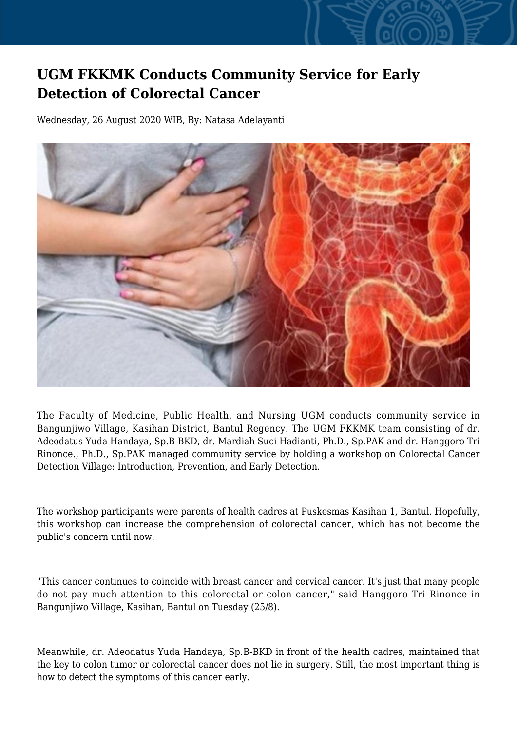## **UGM FKKMK Conducts Community Service for Early Detection of Colorectal Cancer**

Wednesday, 26 August 2020 WIB, By: Natasa Adelayanti



The Faculty of Medicine, Public Health, and Nursing UGM conducts community service in Bangunjiwo Village, Kasihan District, Bantul Regency. The UGM FKKMK team consisting of dr. Adeodatus Yuda Handaya, Sp.B-BKD, dr. Mardiah Suci Hadianti, Ph.D., Sp.PAK and dr. Hanggoro Tri Rinonce., Ph.D., Sp.PAK managed community service by holding a workshop on Colorectal Cancer Detection Village: Introduction, Prevention, and Early Detection.

The workshop participants were parents of health cadres at Puskesmas Kasihan 1, Bantul. Hopefully, this workshop can increase the comprehension of colorectal cancer, which has not become the public's concern until now.

"This cancer continues to coincide with breast cancer and cervical cancer. It's just that many people do not pay much attention to this colorectal or colon cancer," said Hanggoro Tri Rinonce in Bangunjiwo Village, Kasihan, Bantul on Tuesday (25/8).

Meanwhile, dr. Adeodatus Yuda Handaya, Sp.B-BKD in front of the health cadres, maintained that the key to colon tumor or colorectal cancer does not lie in surgery. Still, the most important thing is how to detect the symptoms of this cancer early.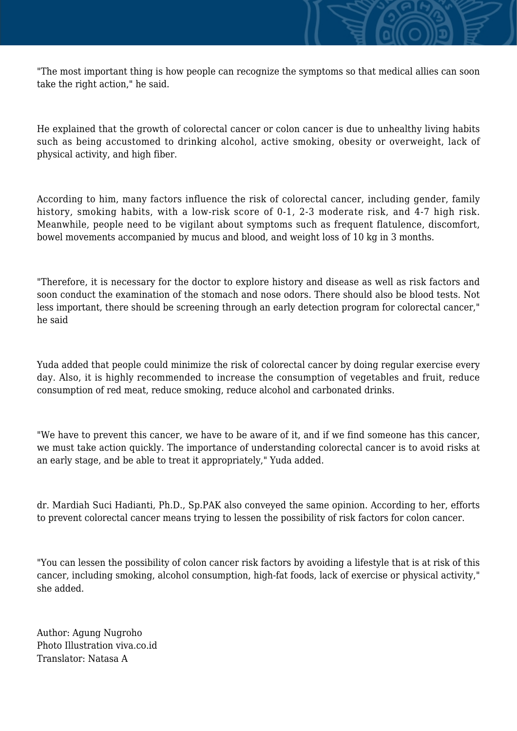"The most important thing is how people can recognize the symptoms so that medical allies can soon take the right action." he said.

He explained that the growth of colorectal cancer or colon cancer is due to unhealthy living habits such as being accustomed to drinking alcohol, active smoking, obesity or overweight, lack of physical activity, and high fiber.

According to him, many factors influence the risk of colorectal cancer, including gender, family history, smoking habits, with a low-risk score of 0-1, 2-3 moderate risk, and 4-7 high risk. Meanwhile, people need to be vigilant about symptoms such as frequent flatulence, discomfort, bowel movements accompanied by mucus and blood, and weight loss of 10 kg in 3 months.

"Therefore, it is necessary for the doctor to explore history and disease as well as risk factors and soon conduct the examination of the stomach and nose odors. There should also be blood tests. Not less important, there should be screening through an early detection program for colorectal cancer," he said

Yuda added that people could minimize the risk of colorectal cancer by doing regular exercise every day. Also, it is highly recommended to increase the consumption of vegetables and fruit, reduce consumption of red meat, reduce smoking, reduce alcohol and carbonated drinks.

"We have to prevent this cancer, we have to be aware of it, and if we find someone has this cancer, we must take action quickly. The importance of understanding colorectal cancer is to avoid risks at an early stage, and be able to treat it appropriately," Yuda added.

dr. Mardiah Suci Hadianti, Ph.D., Sp.PAK also conveyed the same opinion. According to her, efforts to prevent colorectal cancer means trying to lessen the possibility of risk factors for colon cancer.

"You can lessen the possibility of colon cancer risk factors by avoiding a lifestyle that is at risk of this cancer, including smoking, alcohol consumption, high-fat foods, lack of exercise or physical activity," she added.

Author: Agung Nugroho Photo Illustration viva.co.id Translator: Natasa A